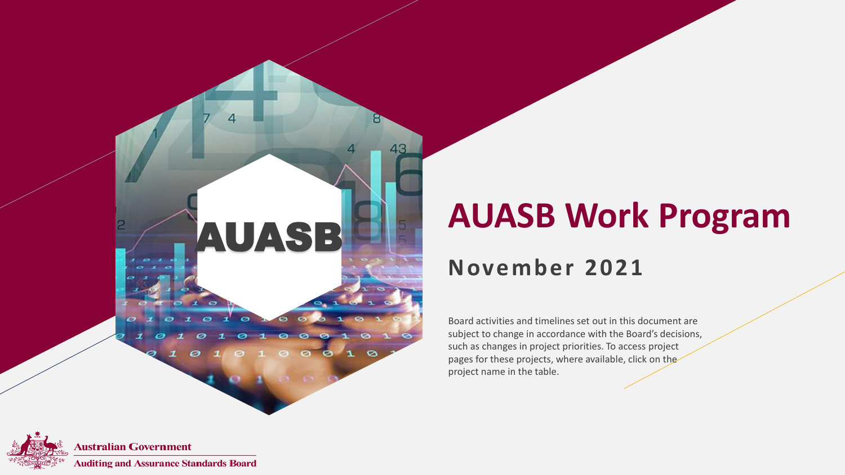

### **AUASB Work Program**

#### **November 2021**

Board activities and timelines set out in this document are subject to change in accordance with the Board's decisions, such as changes in project priorities. To access project pages for these projects, where available, click on the project name in the table.

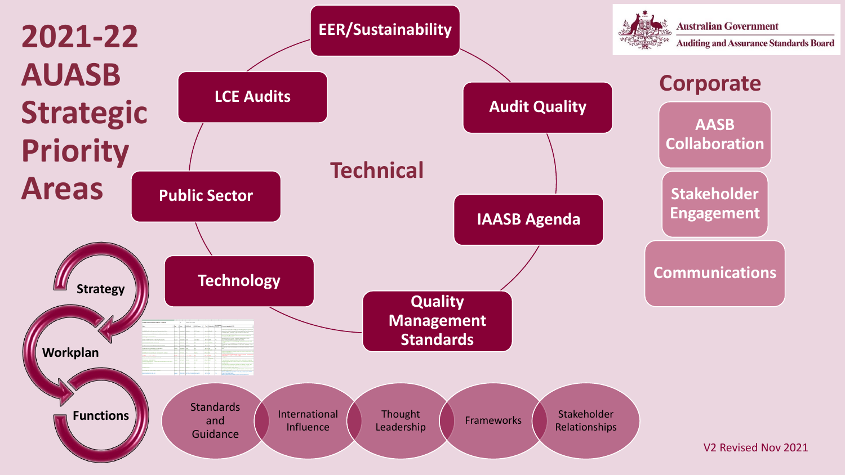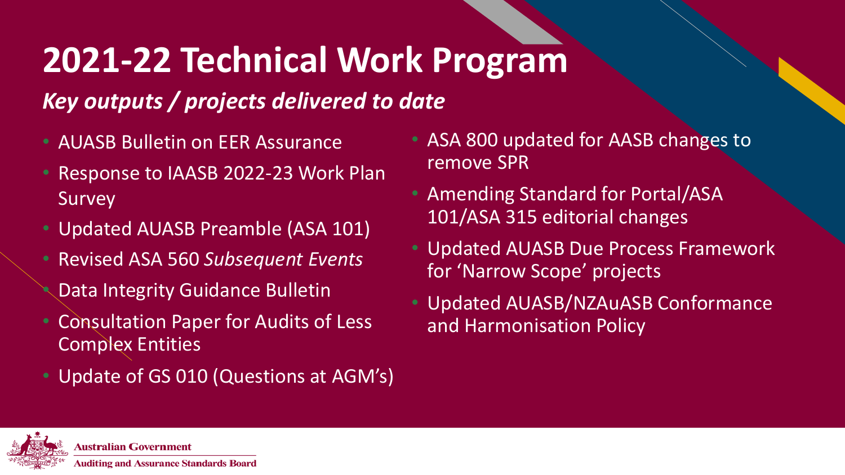# **2021-22 Technical Work Program**

### *Key outputs / projects delivered to date*

- AUASB Bulletin on EER Assurance
- Response to IAASB 2022-23 Work Plan Survey
- Updated AUASB Preamble (ASA 101)
- Revised ASA 560 *Subsequent Events* • Data Integrity Guidance Bulletin
- Consultation Paper for Audits of Less Complex Entities
- Update of GS 010 (Questions at AGM's)
- ASA 800 updated for AASB changes to remove SPR
- Amending Standard for Portal/ASA 101/ASA 315 editorial changes
- Updated AUASB Due Process Framework for 'Narrow Scope' projects
- Updated AUASB/NZAuASB Conformance and Harmonisation Policy

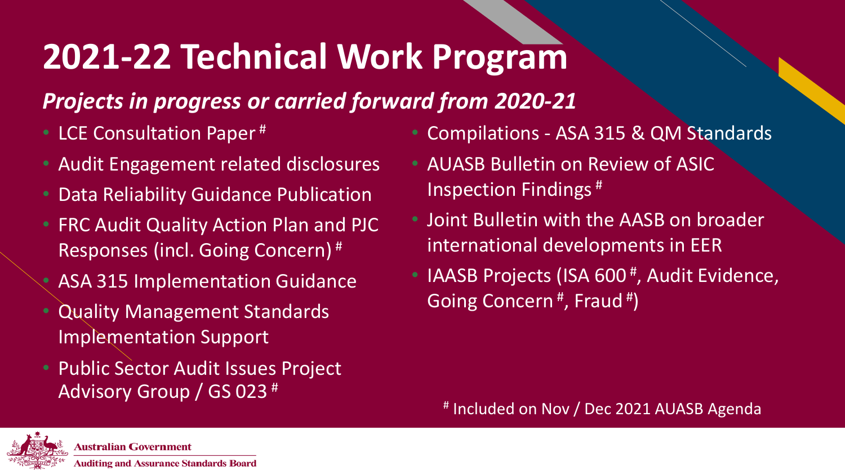# **2021-22 Technical Work Program**

#### *Projects in progress or carried forward from 2020-21*

- LCE Consultation Paper<sup>#</sup>
- Audit Engagement related disclosures
- Data Reliability Guidance Publication
- FRC Audit Quality Action Plan and PJC Responses (incl. Going Concern) #
- ASA 315 Implementation Guidance
- Quality Management Standards Implementation Support
- Public Sector Audit Issues Project Advisory Group / GS 023 #
- Compilations ASA 315 & QM Standards
- AUASB Bulletin on Review of ASIC Inspection Findings #
- Joint Bulletin with the AASB on broader international developments in EER
- IAASB Projects (ISA 600<sup>#</sup>, Audit Evidence, Going Concern<sup>#</sup>, Fraud<sup>#</sup>)

# Included on Nov / Dec 2021 AUASB Agenda

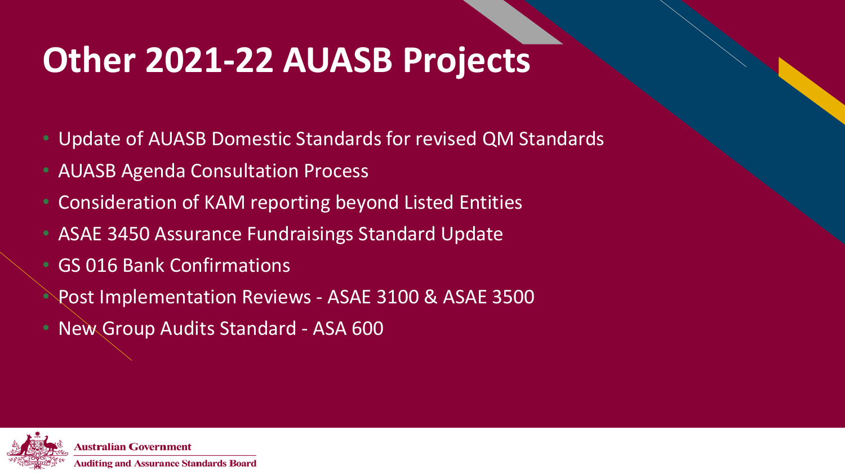# **Other 2021-22 AUASB Projects**

- Update of AUASB Domestic Standards for revised QM Standards
- AUASB Agenda Consultation Process
- Consideration of KAM reporting beyond Listed Entities
- ASAE 3450 Assurance Fundraisings Standard Update
- GS 016 Bank Confirmations
- Post Implementation Reviews ASAE 3100 & ASAE 3500
- New Group Audits Standard ASA 600